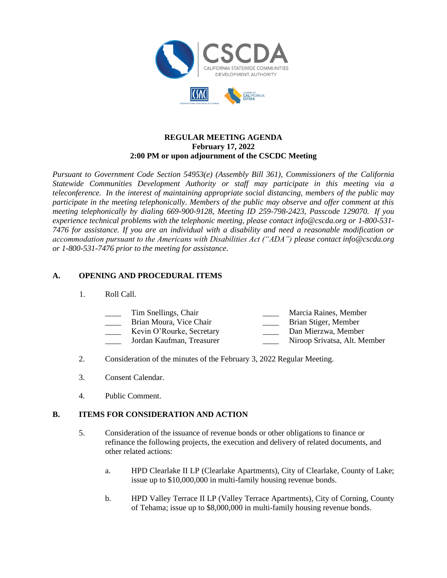

#### **REGULAR MEETING AGENDA February 17, 2022 2:00 PM or upon adjournment of the CSCDC Meeting**

*Pursuant to Government Code Section 54953(e) (Assembly Bill 361), Commissioners of the California Statewide Communities Development Authority or staff may participate in this meeting via a teleconference. In the interest of maintaining appropriate social distancing, members of the public may participate in the meeting telephonically. Members of the public may observe and offer comment at this meeting telephonically by dialing 669-900-9128, Meeting ID 259-798-2423, Passcode 129070. If you experience technical problems with the telephonic meeting, please contact info@cscda.org or 1-800-531- 7476 for assistance. If you are an individual with a disability and need a reasonable modification or accommodation pursuant to the Americans with Disabilities Act ("ADA") please contact info@cscda.org or 1-800-531-7476 prior to the meeting for assistance.*

## **A. OPENING AND PROCEDURAL ITEMS**

1. Roll Call.

| Tim Snellings, Chair    | Marcia Raines, Member |
|-------------------------|-----------------------|
| Brian Moura, Vice Chair | Brian Stiger, Member  |

- Kevin O'Rourke, Secretary **Dan Mierzwa**, Member
- \_\_\_\_ Jordan Kaufman, Treasurer \_\_\_\_ Niroop Srivatsa, Alt. Member
- 2. Consideration of the minutes of the February 3, 2022 Regular Meeting.
- 3. Consent Calendar.
- 4. Public Comment.

#### **B. ITEMS FOR CONSIDERATION AND ACTION**

- 5. Consideration of the issuance of revenue bonds or other obligations to finance or refinance the following projects, the execution and delivery of related documents, and other related actions:
	- a. HPD Clearlake II LP (Clearlake Apartments), City of Clearlake, County of Lake; issue up to \$10,000,000 in multi-family housing revenue bonds.
	- b. HPD Valley Terrace II LP (Valley Terrace Apartments), City of Corning, County of Tehama; issue up to \$8,000,000 in multi-family housing revenue bonds.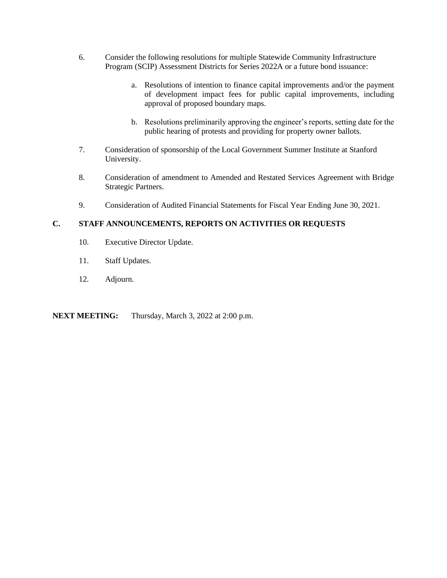- 6. Consider the following resolutions for multiple Statewide Community Infrastructure Program (SCIP) Assessment Districts for Series 2022A or a future bond issuance:
	- a. Resolutions of intention to finance capital improvements and/or the payment of development impact fees for public capital improvements, including approval of proposed boundary maps.
	- b. Resolutions preliminarily approving the engineer's reports, setting date for the public hearing of protests and providing for property owner ballots.
- 7. Consideration of sponsorship of the Local Government Summer Institute at Stanford University.
- 8. Consideration of amendment to Amended and Restated Services Agreement with Bridge Strategic Partners.
- 9. Consideration of Audited Financial Statements for Fiscal Year Ending June 30, 2021.

### **C. STAFF ANNOUNCEMENTS, REPORTS ON ACTIVITIES OR REQUESTS**

- 10. Executive Director Update.
- 11. Staff Updates.
- 12. Adjourn.

**NEXT MEETING:** Thursday, March 3, 2022 at 2:00 p.m.